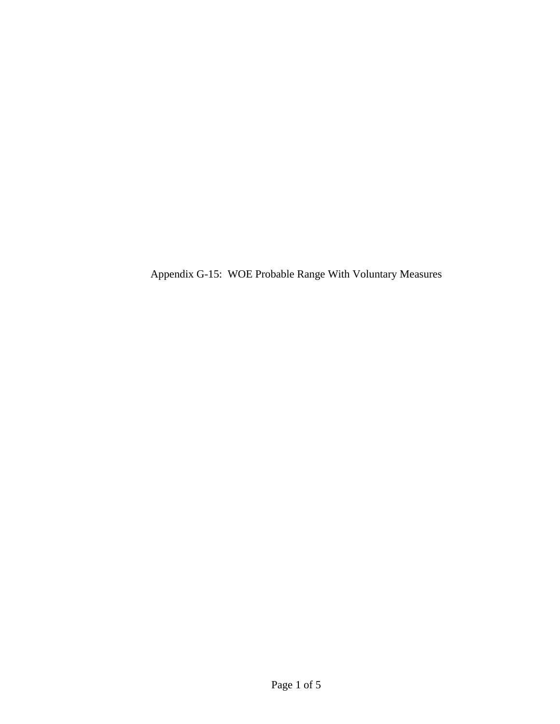Appendix G-15: WOE Probable Range With Voluntary Measures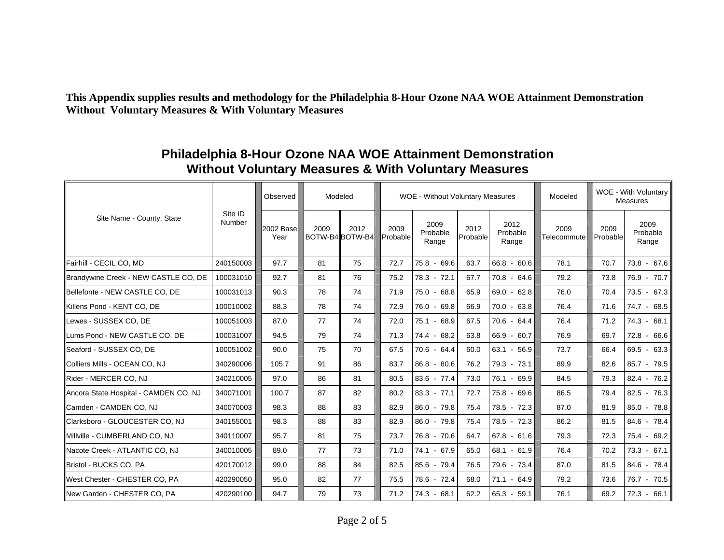**This Appendix supplies results and methodology for the Philadelphia 8-Hour Ozone NAA WOE Attainment Demonstration Without Voluntary Measures & With Voluntary Measures** 

| Site Name - County, State              | Site ID<br>Number | Observed          | Modeled                 |      |                  | <b>WOE - Without Voluntary Measures</b> |                  | WOE - With Voluntary<br>Modeled<br><b>Measures</b> |                     |                  |                           |
|----------------------------------------|-------------------|-------------------|-------------------------|------|------------------|-----------------------------------------|------------------|----------------------------------------------------|---------------------|------------------|---------------------------|
|                                        |                   | 2002 Base<br>Year | 2009<br>BOTW-B4 BOTW-B4 | 2012 | 2009<br>Probable | 2009<br>Probable<br>Range               | 2012<br>Probable | 2012<br>Probable<br>Range                          | 2009<br>Telecommute | 2009<br>Probable | 2009<br>Probable<br>Range |
| Fairhill - CECIL CO, MD                | 240150003         | 97.7              | 81                      | 75   | 72.7             | $75.8 - 69.6$                           | 63.7             | 66.8 - 60.6                                        | 78.1                | 70.7             | $73.8 - 67.6$             |
| Brandywine Creek - NEW CASTLE CO, DE   | 100031010         | 92.7              | 81                      | 76   | 75.2             | $78.3 - 72.1$                           | 67.7             | $70.8 - 64.6$                                      | 79.2                | 73.8             | 76.9 - 70.7               |
| Bellefonte - NEW CASTLE CO. DE         | 100031013         | 90.3              | 78                      | 74   | 71.9             | $75.0 - 68.8$                           | 65.9             | $69.0 - 62.8$                                      | 76.0                | 70.4             | $73.5 - 67.3$             |
| Killens Pond - KENT CO, DE             | 100010002         | 88.3              | 78                      | 74   | 72.9             | 76.0 - 69.8                             | 66.9             | $70.0 - 63.8$                                      | 76.4                | 71.6             | $74.7 - 68.5$             |
| Lewes - SUSSEX CO, DE                  | 100051003         | 87.0              | 77                      | 74   | 72.0             | 75.1 - 68.9                             | 67.5             | $70.6 - 64.4$                                      | 76.4                | 71.2             | $74.3 - 68.1$             |
| <b>I</b> Lums Pond - NEW CASTLE CO. DE | 100031007         | 94.5              | 79                      | 74   | 71.3             | $74.4 - 68.2$                           | 63.8             | 66.9 - 60.7                                        | 76.9                | 69.7             | $72.8 - 66.6$             |
| Seaford - SUSSEX CO, DE                | 100051002         | 90.0              | 75                      | 70   | 67.5             | $70.6 - 64.4$                           | 60.0             | $63.1 - 56.9$                                      | 73.7                | 66.4             | $69.5 - 63.3$             |
| Colliers Mills - OCEAN CO, NJ          | 340290006         | 105.7             | 91                      | 86   | 83.7             | $86.8 - 80.6$                           | 76.2             | $79.3 - 73.1$                                      | 89.9                | 82.6             | $85.7 - 79.5$             |
| Rider - MERCER CO, NJ                  | 340210005         | 97.0              | 86                      | 81   | 80.5             | $83.6 - 77.4$                           | 73.0             | 76.1 - 69.9                                        | 84.5                | 79.3             | $82.4 - 76.2$             |
| Ancora State Hospital - CAMDEN CO, NJ  | 340071001         | 100.7             | 87                      | 82   | 80.2             | $83.3 - 77.1$                           | 72.7             | $75.8 - 69.6$                                      | 86.5                | 79.4             | $82.5 - 76.3$             |
| <b>Camden - CAMDEN CO, NJ</b>          | 340070003         | 98.3              | 88                      | 83   | 82.9             | $86.0 - 79.8$                           | 75.4             | 78.5 - 72.3                                        | 87.0                | 81.9             | $85.0 - 78.8$             |
| Clarksboro - GLOUCESTER CO, NJ         | 340155001         | 98.3              | 88                      | 83   | 82.9             | $86.0 - 79.8$                           | 75.4             | $78.5 - 72.3$                                      | 86.2                | 81.5             | 84.6 - 78.4               |
| <b>I</b> Millville - CUMBERLAND CO. NJ | 340110007         | 95.7              | 81                      | 75   | 73.7             | $76.8 - 70.6$                           | 64.7             | $67.8 - 61.6$                                      | 79.3                | 72.3             | 75.4 - 69.2               |
| Nacote Creek - ATLANTIC CO, NJ         | 340010005         | 89.0              | 77                      | 73   | 71.0             | 74.1 - 67.9                             | 65.0             | $68.1 - 61.9$                                      | 76.4                | 70.2             | $73.3 - 67.1$             |
| Bristol - BUCKS CO, PA                 | 420170012         | 99.0              | 88                      | 84   | 82.5             | $85.6 - 79.4$                           | 76.5             | 79.6 - 73.4                                        | 87.0                | 81.5             | 84.6 - 78.4               |
| West Chester - CHESTER CO, PA          | 420290050         | 95.0              | 82                      | 77   | 75.5             | 78.6 - 72.4                             | 68.0             | $71.1 - 64.9$                                      | 79.2                | 73.6             | 76.7 - 70.5               |
| New Garden - CHESTER CO, PA            | 420290100         | 94.7              | 79                      | 73   | 71.2             | $74.3 - 68.1$                           | 62.2             | $65.3 - 59.1$                                      | 76.1                | 69.2             | $72.3 - 66.1$             |

## **Philadelphia 8-Hour Ozone NAA WOE Attainment Demonstration Without Voluntary Measures & With Voluntary Measures**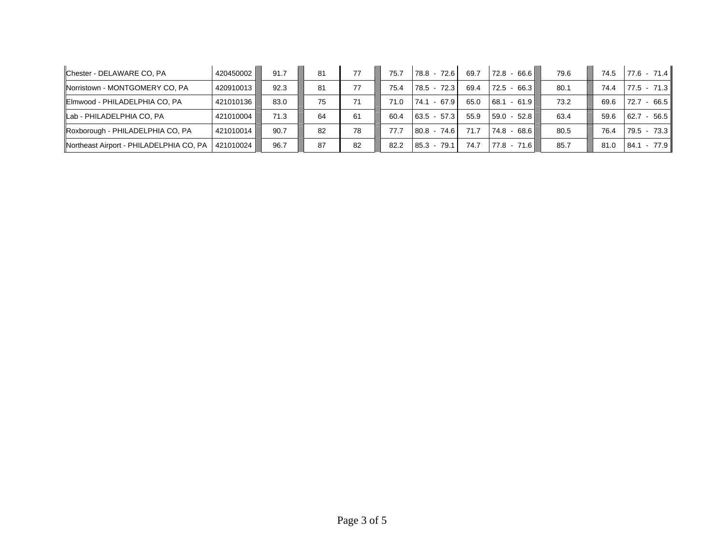| Chester - DELAWARE CO, PA               | 420450002 l | 91.7 | 81 | 77 | 75.7 | 78.8 - 72.6      | 69.7 | $-66.6$<br>72.8          | 79.6 | 74.5 | $77.6 - 71.4$          |
|-----------------------------------------|-------------|------|----|----|------|------------------|------|--------------------------|------|------|------------------------|
| Norristown - MONTGOMERY CO, PA          | 420910013   | 92.3 | 81 | 77 | 75.4 | 72.3<br>78.5     | 69.4 | 66.3 L<br>72.5<br>$\sim$ | 80.1 | 74.4 | $77.5 - 71.3$          |
| Elmwood - PHILADELPHIA CO, PA           | 421010136   | 83.0 | 75 | 71 | 71.0 | $-67.9$<br>74.1  | 65.0 | $-61.9$<br>68.1          | 73.2 | 69.6 | 66.5<br>72.7           |
| Lab - PHILADELPHIA CO, PA               | 421010004   | 71.3 | 64 | 61 | 60.4 | $63.5 - 57.3$    | 55.9 | $59.0 - 52.8$            | 63.4 | 59.6 | $-56.5$<br>62.7        |
| Roxborough - PHILADELPHIA CO, PA        | 421010014   | 90.7 | 82 | 78 | 77.7 | $80.8 - 74.6$    | 71.7 | $74.8 - 68.6$            | 80.5 | 76.4 | $79.5 - 73.3$          |
| Northeast Airport - PHILADELPHIA CO, PA | 421010024   | 96.7 | 87 | 82 | 82.2 | 79.1<br>$85.3 -$ | 74.7 | 77.8 - 71.6              | 85.7 | 81.0 | 77.9<br>84.1<br>$\sim$ |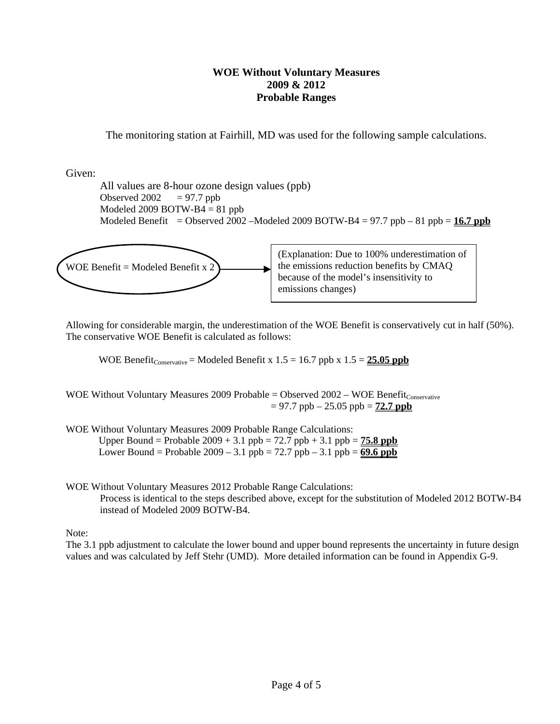## **WOE Without Voluntary Measures 2009 & 2012 Probable Ranges**

The monitoring station at Fairhill, MD was used for the following sample calculations.

Given:

 All values are 8-hour ozone design values (ppb) Observed  $2002 = 97.7$  ppb Modeled 2009 BOTW-B $4 = 81$  ppb Modeled Benefit = Observed 2002 –Modeled 2009 BOTW-B4 = 97.7 ppb – 81 ppb =  $16.7$  ppb



Allowing for considerable margin, the underestimation of the WOE Benefit is conservatively cut in half (50%). The conservative WOE Benefit is calculated as follows:

WOE Benefit<sub>Conservative</sub> = Modeled Benefit x  $1.5 = 16.7$  ppb x  $1.5 = 25.05$  ppb

WOE Without Voluntary Measures 2009 Probable = Observed  $2002 - WOE$  Benefit $_{\text{Conservative}}$  $= 97.7$  ppb  $- 25.05$  ppb  $= 72.7$  ppb

WOE Without Voluntary Measures 2009 Probable Range Calculations:

Upper Bound = Probable  $2009 + 3.1$  ppb =  $72.7$  ppb +  $3.1$  ppb =  $75.8$  ppb Lower Bound = Probable  $2009 - 3.1$  ppb =  $72.7$  ppb  $- 3.1$  ppb =  $69.6$  ppb

WOE Without Voluntary Measures 2012 Probable Range Calculations: Process is identical to the steps described above, except for the substitution of Modeled 2012 BOTW-B4 instead of Modeled 2009 BOTW-B4.

Note:

The 3.1 ppb adjustment to calculate the lower bound and upper bound represents the uncertainty in future design values and was calculated by Jeff Stehr (UMD). More detailed information can be found in Appendix G-9.